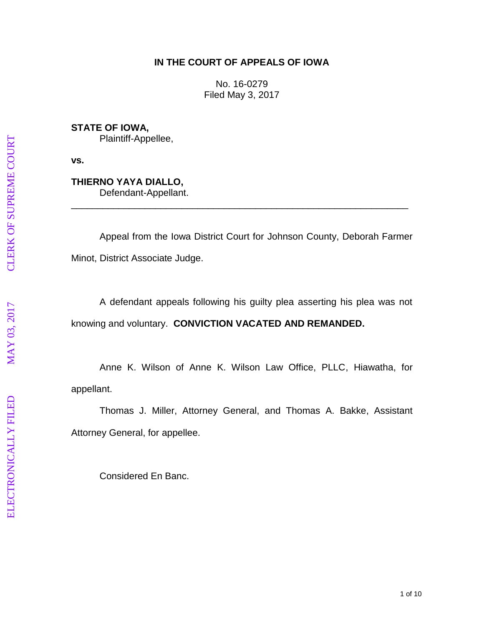### **IN THE COURT OF APPEALS OF IOWA**

No. 16 -0279 Filed May 3, 2017

**STATE OF IOWA,** Plaintiff -Appellee,

**vs.**

**THIERNO YAYA DIALLO ,** Defendant -Appellant.

Appeal from the Iowa District Court for Johnson County, Deborah Farmer Minot, District Associate Judge.

\_\_\_\_\_\_\_\_\_\_\_\_\_\_\_\_\_\_\_\_\_\_\_\_\_\_\_\_\_\_\_\_\_\_\_\_\_\_\_\_\_\_\_\_\_\_\_\_\_\_\_\_\_\_\_\_\_\_\_\_\_\_\_\_

A defendant appeals following his guilty plea asserting his plea was not knowing and voluntary. **CONVICTION VACATED AND REMANDED .**

Anne K. Wilson of Anne K. Wilson Law Office, PLLC, Hiawatha, for appellant.

Thomas J. Miller, Attorney General, and Thomas A. Bakke, Assistant Attorney General, for appellee.

Considered En Banc.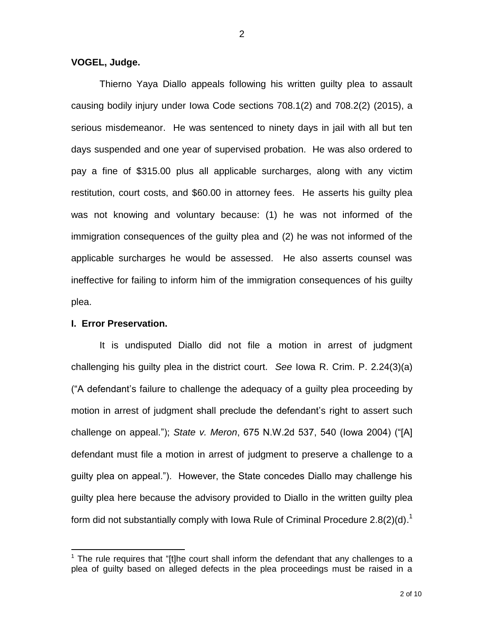**VOGEL, Judge.**

Thierno Yaya Diallo appeals following his written guilty plea to assault causing bodily injury under Iowa Code sections 708.1(2) and 708.2(2) (2015), a serious misdemeanor. He was sentenced to ninety days in jail with all but ten days suspended and one year of supervised probation. He was also ordered to pay a fine of \$315.00 plus all applicable surcharges, along with any victim restitution, court costs, and \$60.00 in attorney fees. He asserts his guilty plea was not knowing and voluntary because: (1) he was not informed of the immigration consequences of the guilty plea and (2) he was not informed of the applicable surcharges he would be assessed. He also asserts counsel was ineffective for failing to inform him of the immigration consequences of his guilty plea.

### **I. Error Preservation.**

 $\overline{a}$ 

It is undisputed Diallo did not file a motion in arrest of judgment challenging his guilty plea in the district court. *See* Iowa R. Crim. P. 2.24(3)(a) ("A defendant's failure to challenge the adequacy of a guilty plea proceeding by motion in arrest of judgment shall preclude the defendant's right to assert such challenge on appeal."); *State v. Meron*, 675 N.W.2d 537, 540 (Iowa 2004) ("[A] defendant must file a motion in arrest of judgment to preserve a challenge to a guilty plea on appeal."). However, the State concedes Diallo may challenge his guilty plea here because the advisory provided to Diallo in the written guilty plea form did not substantially comply with Iowa Rule of Criminal Procedure 2.8(2)(d).<sup>1</sup>

 $1$  The rule requires that "[t]he court shall inform the defendant that any challenges to a plea of guilty based on alleged defects in the plea proceedings must be raised in a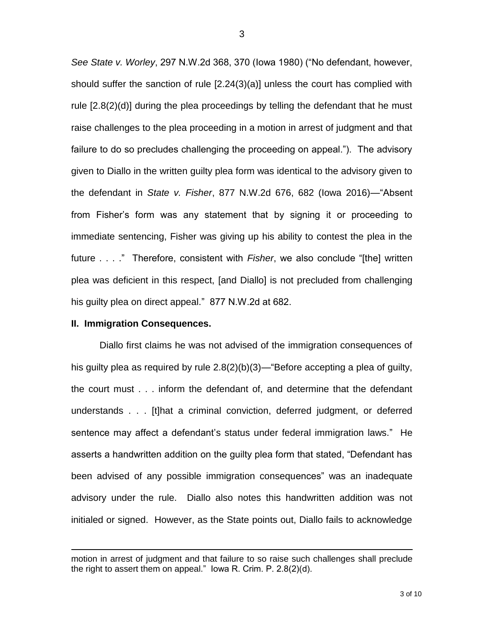*See State v. Worley*, 297 N.W.2d 368, 370 (Iowa 1980) ("No defendant, however, should suffer the sanction of rule [2.24(3)(a)] unless the court has complied with rule [2.8(2)(d)] during the plea proceedings by telling the defendant that he must raise challenges to the plea proceeding in a motion in arrest of judgment and that failure to do so precludes challenging the proceeding on appeal."). The advisory given to Diallo in the written guilty plea form was identical to the advisory given to the defendant in *State v. Fisher*, 877 N.W.2d 676, 682 (Iowa 2016)—"Absent from Fisher's form was any statement that by signing it or proceeding to immediate sentencing, Fisher was giving up his ability to contest the plea in the future . . . ." Therefore, consistent with *Fisher*, we also conclude "[the] written plea was deficient in this respect, [and Diallo] is not precluded from challenging his guilty plea on direct appeal." 877 N.W.2d at 682.

#### **II. Immigration Consequences.**

 $\overline{a}$ 

Diallo first claims he was not advised of the immigration consequences of his guilty plea as required by rule 2.8(2)(b)(3)—"Before accepting a plea of guilty, the court must . . . inform the defendant of, and determine that the defendant understands . . . [t]hat a criminal conviction, deferred judgment, or deferred sentence may affect a defendant's status under federal immigration laws." He asserts a handwritten addition on the guilty plea form that stated, "Defendant has been advised of any possible immigration consequences" was an inadequate advisory under the rule. Diallo also notes this handwritten addition was not initialed or signed. However, as the State points out, Diallo fails to acknowledge

motion in arrest of judgment and that failure to so raise such challenges shall preclude the right to assert them on appeal." Iowa R. Crim. P. 2.8(2)(d).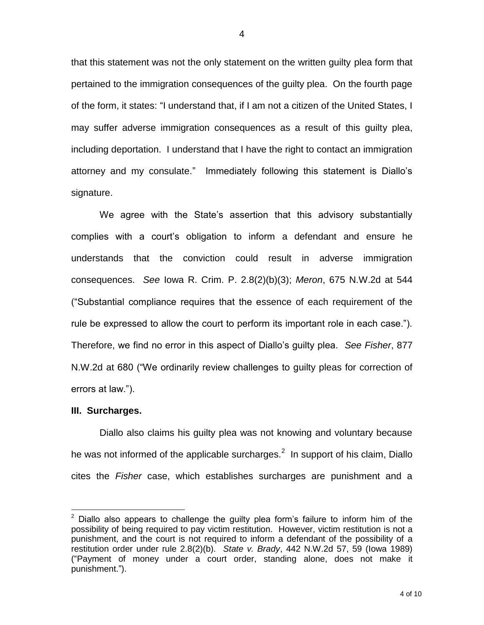that this statement was not the only statement on the written guilty plea form that pertained to the immigration consequences of the guilty plea. On the fourth page of the form, it states: "I understand that, if I am not a citizen of the United States, I may suffer adverse immigration consequences as a result of this guilty plea, including deportation. I understand that I have the right to contact an immigration attorney and my consulate." Immediately following this statement is Diallo's signature.

We agree with the State's assertion that this advisory substantially complies with a court's obligation to inform a defendant and ensure he understands that the conviction could result in adverse immigration consequences. *See* Iowa R. Crim. P. 2.8(2)(b)(3); *Meron*, 675 N.W.2d at 544 ("Substantial compliance requires that the essence of each requirement of the rule be expressed to allow the court to perform its important role in each case."). Therefore, we find no error in this aspect of Diallo's guilty plea. *See Fisher*, 877 N.W.2d at 680 ("We ordinarily review challenges to guilty pleas for correction of errors at law.").

#### **III. Surcharges.**

 $\overline{a}$ 

Diallo also claims his guilty plea was not knowing and voluntary because he was not informed of the applicable surcharges.<sup>2</sup> In support of his claim, Diallo cites the *Fisher* case, which establishes surcharges are punishment and a

 $2$  Diallo also appears to challenge the guilty plea form's failure to inform him of the possibility of being required to pay victim restitution. However, victim restitution is not a punishment, and the court is not required to inform a defendant of the possibility of a restitution order under rule 2.8(2)(b). *State v. Brady*, 442 N.W.2d 57, 59 (Iowa 1989) ("Payment of money under a court order, standing alone, does not make it punishment.").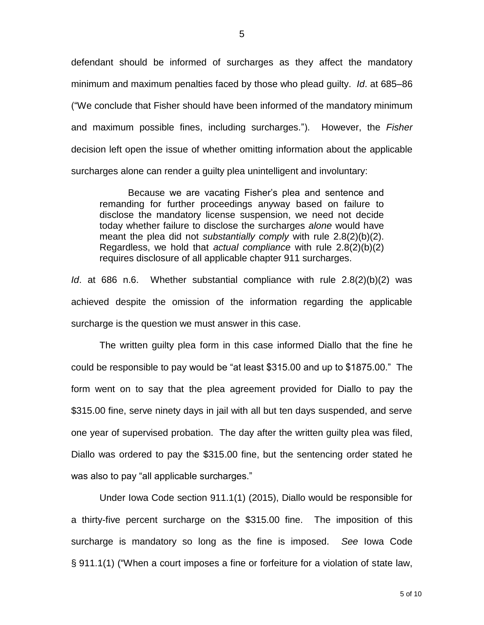defendant should be informed of surcharges as they affect the mandatory minimum and maximum penalties faced by those who plead guilty. *Id*. at 685–86 ("We conclude that Fisher should have been informed of the mandatory minimum and maximum possible fines, including surcharges."). However, the *Fisher* decision left open the issue of whether omitting information about the applicable surcharges alone can render a guilty plea unintelligent and involuntary:

Because we are vacating Fisher's plea and sentence and remanding for further proceedings anyway based on failure to disclose the mandatory license suspension, we need not decide today whether failure to disclose the surcharges *alone* would have meant the plea did not *substantially comply* with rule 2.8(2)(b)(2). Regardless, we hold that *actual compliance* with rule 2.8(2)(b)(2) requires disclosure of all applicable chapter 911 surcharges.

*Id*. at 686 n.6. Whether substantial compliance with rule 2.8(2)(b)(2) was achieved despite the omission of the information regarding the applicable surcharge is the question we must answer in this case.

The written guilty plea form in this case informed Diallo that the fine he could be responsible to pay would be "at least \$315.00 and up to \$1875.00." The form went on to say that the plea agreement provided for Diallo to pay the \$315.00 fine, serve ninety days in jail with all but ten days suspended, and serve one year of supervised probation. The day after the written guilty plea was filed, Diallo was ordered to pay the \$315.00 fine, but the sentencing order stated he was also to pay "all applicable surcharges."

Under Iowa Code section 911.1(1) (2015), Diallo would be responsible for a thirty-five percent surcharge on the \$315.00 fine. The imposition of this surcharge is mandatory so long as the fine is imposed. *See* Iowa Code § 911.1(1) ("When a court imposes a fine or forfeiture for a violation of state law,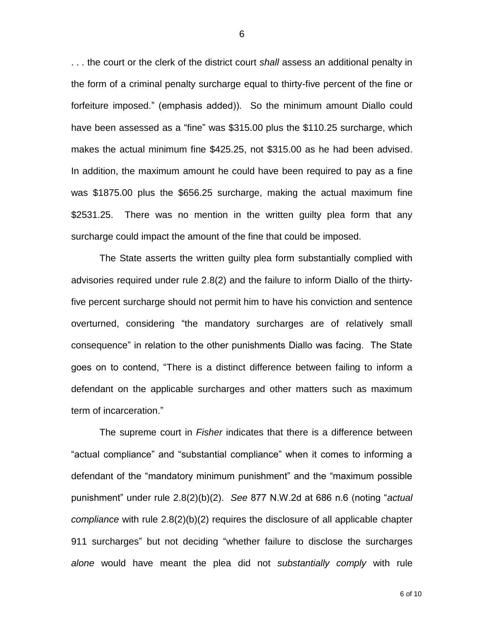. . . the court or the clerk of the district court *shall* assess an additional penalty in the form of a criminal penalty surcharge equal to thirty-five percent of the fine or forfeiture imposed." (emphasis added)). So the minimum amount Diallo could have been assessed as a "fine" was \$315.00 plus the \$110.25 surcharge, which makes the actual minimum fine \$425.25, not \$315.00 as he had been advised. In addition, the maximum amount he could have been required to pay as a fine was \$1875.00 plus the \$656.25 surcharge, making the actual maximum fine \$2531.25. There was no mention in the written guilty plea form that any surcharge could impact the amount of the fine that could be imposed.

The State asserts the written guilty plea form substantially complied with advisories required under rule 2.8(2) and the failure to inform Diallo of the thirtyfive percent surcharge should not permit him to have his conviction and sentence overturned, considering "the mandatory surcharges are of relatively small consequence" in relation to the other punishments Diallo was facing. The State goes on to contend, "There is a distinct difference between failing to inform a defendant on the applicable surcharges and other matters such as maximum term of incarceration."

The supreme court in *Fisher* indicates that there is a difference between "actual compliance" and "substantial compliance" when it comes to informing a defendant of the "mandatory minimum punishment" and the "maximum possible punishment" under rule 2.8(2)(b)(2). *See* 877 N.W.2d at 686 n.6 (noting "*actual compliance* with rule 2.8(2)(b)(2) requires the disclosure of all applicable chapter 911 surcharges" but not deciding "whether failure to disclose the surcharges *alone* would have meant the plea did not *substantially comply* with rule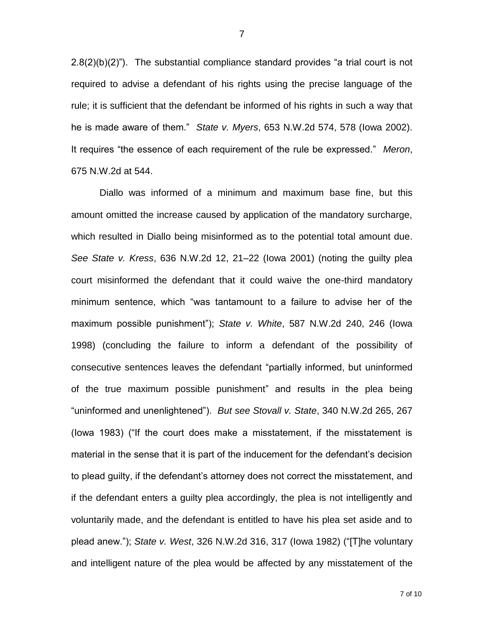2.8(2)(b)(2)"). The substantial compliance standard provides "a trial court is not required to advise a defendant of his rights using the precise language of the rule; it is sufficient that the defendant be informed of his rights in such a way that he is made aware of them." *State v. Myers*, 653 N.W.2d 574, 578 (Iowa 2002). It requires "the essence of each requirement of the rule be expressed." *Meron*, 675 N.W.2d at 544.

Diallo was informed of a minimum and maximum base fine, but this amount omitted the increase caused by application of the mandatory surcharge, which resulted in Diallo being misinformed as to the potential total amount due. *See State v. Kress*, 636 N.W.2d 12, 21–22 (Iowa 2001) (noting the guilty plea court misinformed the defendant that it could waive the one-third mandatory minimum sentence, which "was tantamount to a failure to advise her of the maximum possible punishment"); *State v. White*, 587 N.W.2d 240, 246 (Iowa 1998) (concluding the failure to inform a defendant of the possibility of consecutive sentences leaves the defendant "partially informed, but uninformed of the true maximum possible punishment" and results in the plea being "uninformed and unenlightened"). *But see Stovall v. State*, 340 N.W.2d 265, 267 (Iowa 1983) ("If the court does make a misstatement, if the misstatement is material in the sense that it is part of the inducement for the defendant's decision to plead guilty, if the defendant's attorney does not correct the misstatement, and if the defendant enters a guilty plea accordingly, the plea is not intelligently and voluntarily made, and the defendant is entitled to have his plea set aside and to plead anew."); *State v. West*, 326 N.W.2d 316, 317 (Iowa 1982) ("[T]he voluntary and intelligent nature of the plea would be affected by any misstatement of the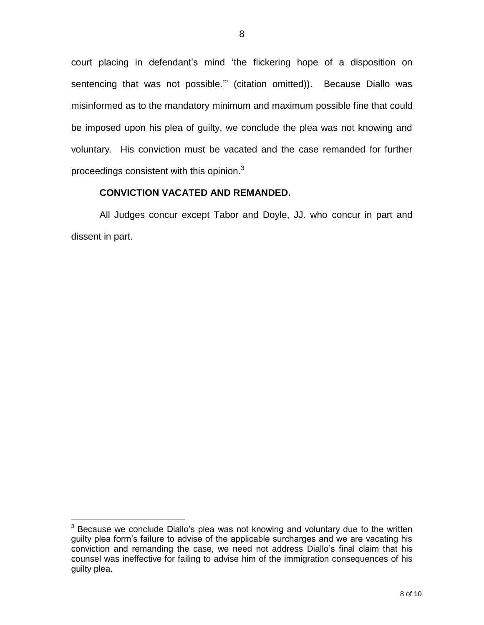court placing in defendant's mind 'the flickering hope of a disposition on sentencing that was not possible.'" (citation omitted)). Because Diallo was misinformed as to the mandatory minimum and maximum possible fine that could be imposed upon his plea of guilty, we conclude the plea was not knowing and voluntary. His conviction must be vacated and the case remanded for further proceedings consistent with this opinion.<sup>3</sup>

## **CONVICTION VACATED AND REMANDED.**

All Judges concur except Tabor and Doyle, JJ. who concur in part and dissent in part.

 $\overline{a}$ 

<sup>&</sup>lt;sup>3</sup> Because we conclude Diallo's plea was not knowing and voluntary due to the written guilty plea form's failure to advise of the applicable surcharges and we are vacating his conviction and remanding the case, we need not address Diallo's final claim that his counsel was ineffective for failing to advise him of the immigration consequences of his guilty plea.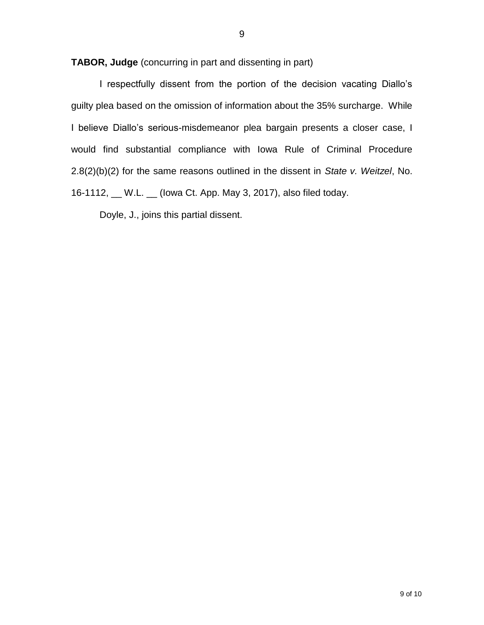**TABOR, Judge** (concurring in part and dissenting in part)

I respectfully dissent from the portion of the decision vacating Diallo's guilty plea based on the omission of information about the 35% surcharge. While I believe Diallo's serious-misdemeanor plea bargain presents a closer case, I would find substantial compliance with Iowa Rule of Criminal Procedure 2.8(2)(b)(2) for the same reasons outlined in the dissent in *State v. Weitzel*, No. 16-1112, \_\_ W.L. \_\_ (Iowa Ct. App. May 3, 2017), also filed today.

Doyle, J., joins this partial dissent.